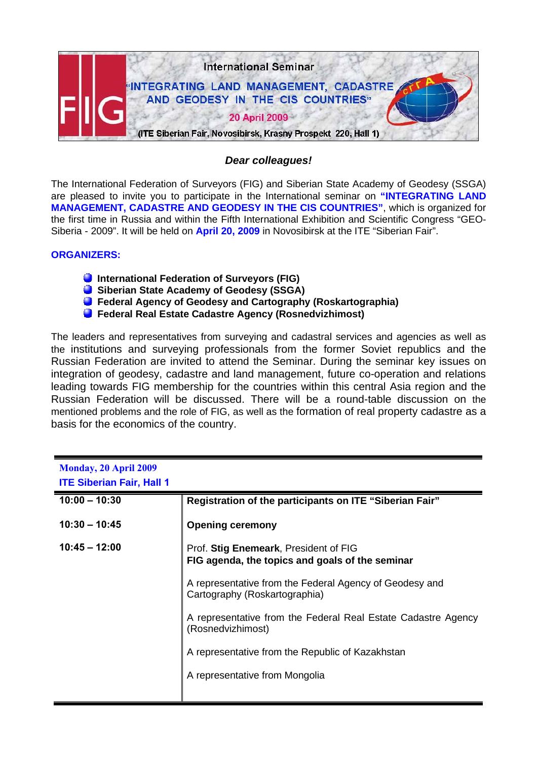

## *Dear colleagues!*

The International Federation of Surveyors (FIG) and Siberian State Academy of Geodesy (SSGA) are pleased to invite you to participate in the International seminar on **"INTEGRATING LAND MANAGEMENT, CADASTRE AND GEODESY IN THE CIS COUNTRIES"**, which is organized for the first time in Russia and within the Fifth International Exhibition and Scientific Congress "GEO-Siberia - 2009". It will be held on **April 20, 2009** in Novosibirsk at the ITE "Siberian Fair".

## **ORGANIZERS:**

- **C** International Federation of Surveyors (FIG)
- **Siberian State Academy of Geodesy (SSGA)**
- **Federal Agency of Geodesy and Cartography (Roskartographia)**
- **Federal Real Estate Cadastre Agency (Rosnedvizhimost)**

The leaders and representatives from surveying and cadastral services and agencies as well as the institutions and surveying professionals from the former Soviet republics and the Russian Federation are invited to attend the Seminar. During the seminar key issues on integration of geodesy, cadastre and land management, future co-operation and relations leading towards FIG membership for the countries within this central Asia region and the Russian Federation will be discussed. There will be a round-table discussion on the mentioned problems and the role of FIG, as well as the formation of real property cadastre as a basis for the economics of the country.

| <b>Monday, 20 April 2009</b><br><b>ITE Siberian Fair, Hall 1</b> |                                                                                          |
|------------------------------------------------------------------|------------------------------------------------------------------------------------------|
| $10:00 - 10:30$                                                  | Registration of the participants on ITE "Siberian Fair"                                  |
| $10:30 - 10:45$                                                  | <b>Opening ceremony</b>                                                                  |
| $10:45 - 12:00$                                                  | Prof. Stig Enemeark, President of FIG<br>FIG agenda, the topics and goals of the seminar |
|                                                                  | A representative from the Federal Agency of Geodesy and<br>Cartography (Roskartographia) |
|                                                                  | A representative from the Federal Real Estate Cadastre Agency<br>(Rosnedvizhimost)       |
|                                                                  | A representative from the Republic of Kazakhstan                                         |
|                                                                  | A representative from Mongolia                                                           |
|                                                                  |                                                                                          |